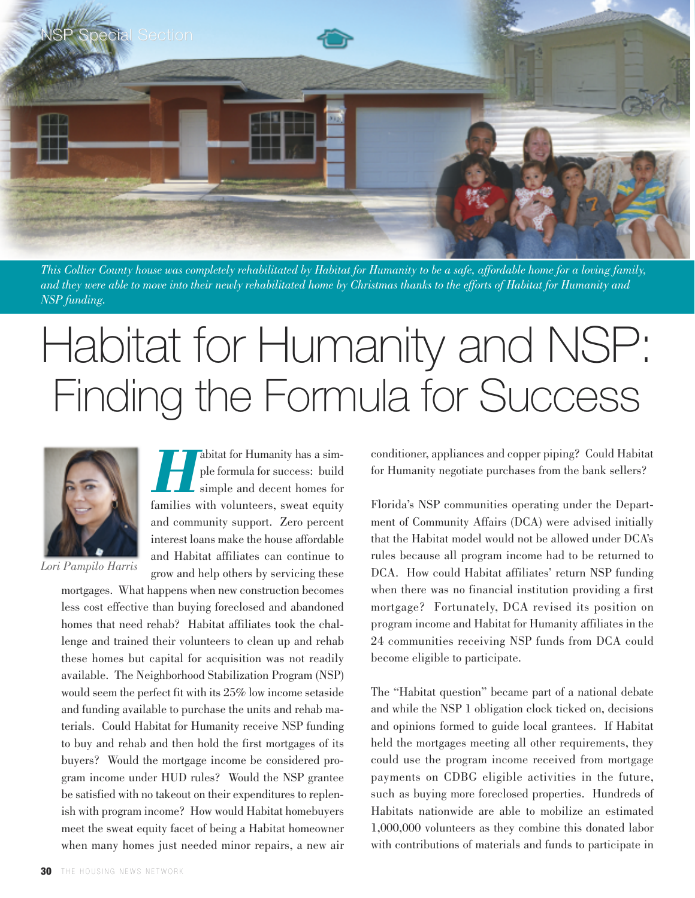

This Collier County house was completely rehabilitated by Habitat for Humanity to be a safe, affordable home for a loving family, and they were able to move into their newly rehabilitated home by Christmas thanks to the efforts of Habitat for Humanity and *NSP funding.*

## Habitat for Humanity and NSP: Finding the Formula for Success



*Lori Pampilo Harris*

**Habitat for Humanity has a simple formula for success: build simple and decent homes for** ple formula for success: build simple and decent homes for families with volunteers, sweat equity and community support. Zero percent interest loans make the house affordable and Habitat affiliates can continue to grow and help others by servicing these

mortgages. What happens when new construction becomes less cost effective than buying foreclosed and abandoned homes that need rehab? Habitat affiliates took the challenge and trained their volunteers to clean up and rehab these homes but capital for acquisition was not readily available. The Neighborhood Stabilization Program (NSP) would seem the perfect fit with its 25% low income setaside and funding available to purchase the units and rehab materials. Could Habitat for Humanity receive NSP funding to buy and rehab and then hold the first mortgages of its buyers? Would the mortgage income be considered program income under HUD rules? Would the NSP grantee be satisfied with no takeout on their expenditures to replenish with program income? How would Habitat homebuyers meet the sweat equity facet of being a Habitat homeowner when many homes just needed minor repairs, a new air conditioner, appliances and copper piping? Could Habitat for Humanity negotiate purchases from the bank sellers?

Florida's NSP communities operating under the Department of Community Affairs (DCA) were advised initially that the Habitat model would not be allowed under DCA's rules because all program income had to be returned to DCA. How could Habitat affiliates' return NSP funding when there was no financial institution providing a first mortgage? Fortunately, DCA revised its position on program income and Habitat for Humanity affiliates in the 24 communities receiving NSP funds from DCA could become eligible to participate.

The "Habitat question" became part of a national debate and while the NSP 1 obligation clock ticked on, decisions and opinions formed to guide local grantees. If Habitat held the mortgages meeting all other requirements, they could use the program income received from mortgage payments on CDBG eligible activities in the future, such as buying more foreclosed properties. Hundreds of Habitats nationwide are able to mobilize an estimated 1,000,000 volunteers as they combine this donated labor with contributions of materials and funds to participate in